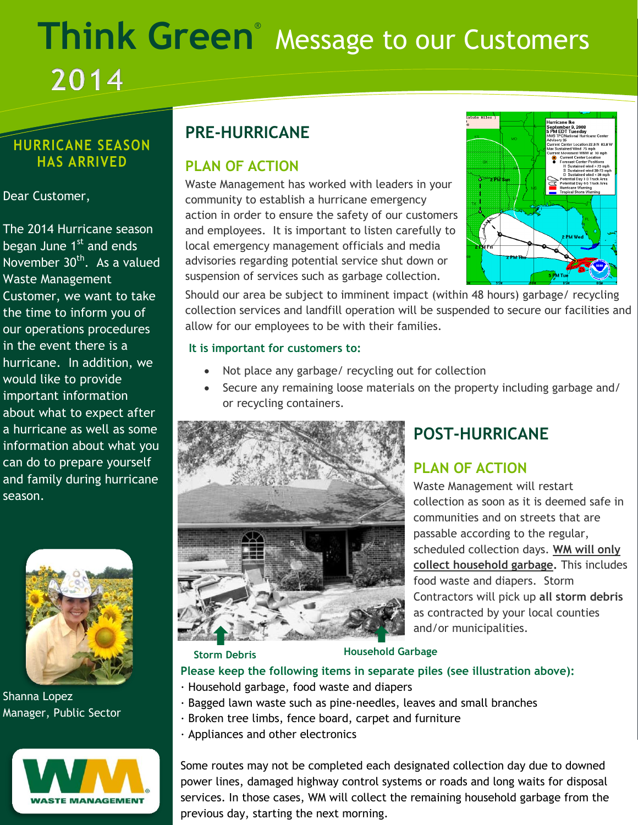# **Think Green**® Message to our Customers 2014

## **HURRICANE SEASON HAS ARRIVED**

#### Dear Customer,

November 30<sup>th</sup>. As a valued information about what you The 2014 Hurricane season began June 1<sup>st</sup> and ends Waste Management Customer, we want to take the time to inform you of our operations procedures in the event there is a hurricane. In addition, we would like to provide important information about what to expect after a hurricane as well as some can do to prepare yourself and family during hurricane season.



Shanna Lopez Manager, Public Sector



# **PRE-HURRICANE**

## **PLAN OF ACTION**

Waste Management has worked with leaders in your community to establish a hurricane emergency action in order to ensure the safety of our customers and employees. It is important to listen carefully to local emergency management officials and media advisories regarding potential service shut down or suspension of services such as garbage collection.



Should our area be subject to imminent impact (within 48 hours) garbage/ recycling collection services and landfill operation will be suspended to secure our facilities and allow for our employees to be with their families.

#### **It is important for customers to:**

- Not place any garbage/ recycling out for collection
- Secure any remaining loose materials on the property including garbage and/ or recycling containers.



# **POST-HURRICANE**

# **PLAN OF ACTION**

Waste Management will restart collection as soon as it is deemed safe in communities and on streets that are passable according to the regular, scheduled collection days. **WM will only collect household garbage.** This includes food waste and diapers. Storm Contractors will pick up **all storm debris**  as contracted by your local counties and/or municipalities.

**Storm Debris Household Garbage**

#### **Please keep the following items in separate piles (see illustration above):**

- · Household garbage, food waste and diapers
- · Bagged lawn waste such as pine-needles, leaves and small branches
- · Broken tree limbs, fence board, carpet and furniture
- · Appliances and other electronics

Some routes may not be completed each designated collection day due to downed power lines, damaged highway control systems or roads and long waits for disposal services. In those cases, WM will collect the remaining household garbage from the previous day, starting the next morning.